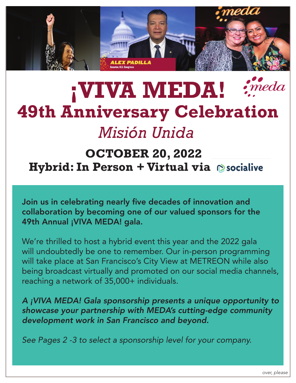

## meda **¡VIVA MEDA! 49th Anniversary Celebration** *Misión Unida*

## **OCTOBER 20, 2022 Hybrid: In Person + Virtual via**

Join us in celebrating nearly five decades of innovation and collaboration by becoming one of our valued sponsors for the 49th Annual ¡VIVA MEDA! gala.

We're thrilled to host a hybrid event this year and the 2022 gala will undoubtedly be one to remember. Our in-person programming will take place at San Francisco's City View at METREON while also being broadcast virtually and promoted on our social media channels, reaching a network of 35,000+ individuals.

*A ¡VIVA MEDA! Gala sponsorship presents a unique opportunity to showcase your partnership with MEDA's cutting-edge community development work in San Francisco and beyond.*

*See Pages 2 -3 to select a sponsorship level for your company.*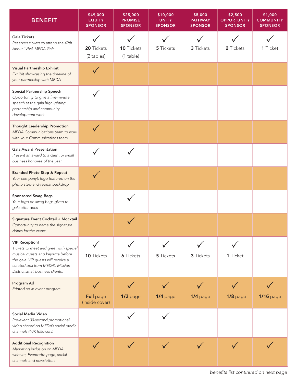| <b>BENEFIT</b>                                                                                                                                                                                                     | \$49,000<br><b>EQUITY</b><br><b>SPONSOR</b> | \$25,000<br><b>PROMISE</b><br><b>SPONSOR</b> | \$10,000<br><b>UNITY</b><br><b>SPONSOR</b> | \$5,000<br><b>PATHWAY</b><br><b>SPONSOR</b> | \$2,500<br><b>OPPORTUNITY</b><br><b>SPONSOR</b> | \$1,000<br><b>COMMUNITY</b><br><b>SPONSOR</b> |
|--------------------------------------------------------------------------------------------------------------------------------------------------------------------------------------------------------------------|---------------------------------------------|----------------------------------------------|--------------------------------------------|---------------------------------------------|-------------------------------------------------|-----------------------------------------------|
| <b>Gala Tickets</b><br>Reserved tickets to attend the 49th<br>Annual VIVA MEDA Gala                                                                                                                                | 20 Tickets<br>(2 tables)                    | 10 Tickets<br>$(1$ table)                    | 5 Tickets                                  | 3 Tickets                                   | 2 Tickets                                       | 1 Ticket                                      |
| <b>Visual Partnership Exhibit</b><br>Exhibit showcasing the timeline of<br>your partnership with MEDA                                                                                                              |                                             |                                              |                                            |                                             |                                                 |                                               |
| Special Partnership Speech<br>Opportunity to give a five-minute<br>speech at the gala highlighting<br>partnership and community<br>development work                                                                |                                             |                                              |                                            |                                             |                                                 |                                               |
| Thought Leadership Promotion<br>MEDA Communications team to work<br>with your Communications team                                                                                                                  |                                             |                                              |                                            |                                             |                                                 |                                               |
| <b>Gala Award Presentation</b><br>Present an award to a client or small<br>business honoree of the year                                                                                                            |                                             |                                              |                                            |                                             |                                                 |                                               |
| <b>Branded Photo Step &amp; Repeat</b><br>Your company's logo featured on the<br>photo step-and-repeat backdrop                                                                                                    |                                             |                                              |                                            |                                             |                                                 |                                               |
| <b>Sponsored Swag Bags</b><br>Your logo on swag bags given to<br>gala attendees                                                                                                                                    |                                             |                                              |                                            |                                             |                                                 |                                               |
| Signature Event Cocktail + Mocktail<br>Opportunity to name the signature<br>drinks for the event                                                                                                                   |                                             |                                              |                                            |                                             |                                                 |                                               |
| <b>VIP Reception!</b><br>Tickets to meet and greet with special<br>musical guests and keynote before<br>the gala. VIP guests will receive a<br>curated box from MEDA's Mission<br>District small business clients. | 10 Tickets                                  | <b>6</b> Tickets                             | 5 Tickets                                  | 3 Tickets                                   | 1 Ticket                                        |                                               |
| Program Ad<br>Printed ad in event program                                                                                                                                                                          | <b>Full</b> page<br>(inside cover)          | 1/2 page                                     | 1/4 page                                   | 1/4 page                                    | $1/8$ page                                      | <b>1/16</b> page                              |
| Social Media Video<br>Pre-event 30-second promotional<br>video shared on MEDA's social media<br>channels (40K followers)                                                                                           |                                             |                                              |                                            |                                             |                                                 |                                               |
| <b>Additional Recognition</b><br>Marketing inclusion on MEDA<br>website, Eventbrite page, social<br>channels and newsletters                                                                                       |                                             |                                              |                                            |                                             |                                                 |                                               |

*benefits list continued on next page*